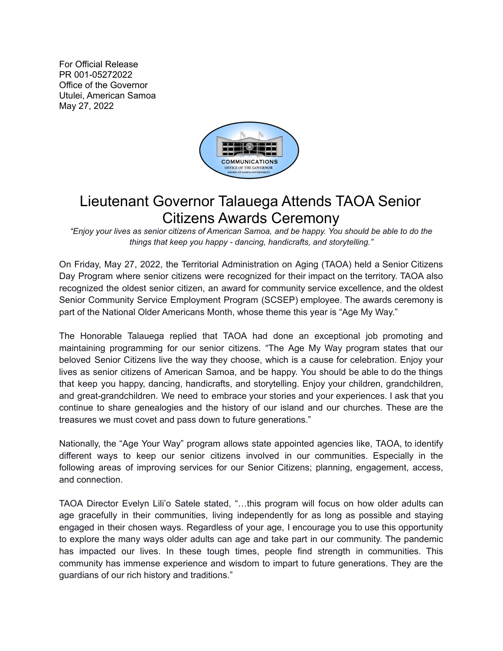For Official Release PR 001-05272022 Office of the Governor Utulei, American Samoa May 27, 2022



## Lieutenant Governor Talauega Attends TAOA Senior Citizens Awards Ceremony

"Enjoy your lives as senior citizens of American Samoa, and be happy. You should be able to do the *things that keep you happy - dancing, handicrafts, and storytelling."*

On Friday, May 27, 2022, the Territorial Administration on Aging (TAOA) held a Senior Citizens Day Program where senior citizens were recognized for their impact on the territory. TAOA also recognized the oldest senior citizen, an award for community service excellence, and the oldest Senior Community Service Employment Program (SCSEP) employee. The awards ceremony is part of the National Older Americans Month, whose theme this year is "Age My Way."

The Honorable Talauega replied that TAOA had done an exceptional job promoting and maintaining programming for our senior citizens. "The Age My Way program states that our beloved Senior Citizens live the way they choose, which is a cause for celebration. Enjoy your lives as senior citizens of American Samoa, and be happy. You should be able to do the things that keep you happy, dancing, handicrafts, and storytelling. Enjoy your children, grandchildren, and great-grandchildren. We need to embrace your stories and your experiences. I ask that you continue to share genealogies and the history of our island and our churches. These are the treasures we must covet and pass down to future generations."

Nationally, the "Age Your Way" program allows state appointed agencies like, TAOA, to identify different ways to keep our senior citizens involved in our communities. Especially in the following areas of improving services for our Senior Citizens; planning, engagement, access, and connection.

TAOA Director Evelyn Lili'o Satele stated, "…this program will focus on how older adults can age gracefully in their communities, living independently for as long as possible and staying engaged in their chosen ways. Regardless of your age, I encourage you to use this opportunity to explore the many ways older adults can age and take part in our community. The pandemic has impacted our lives. In these tough times, people find strength in communities. This community has immense experience and wisdom to impart to future generations. They are the guardians of our rich history and traditions."